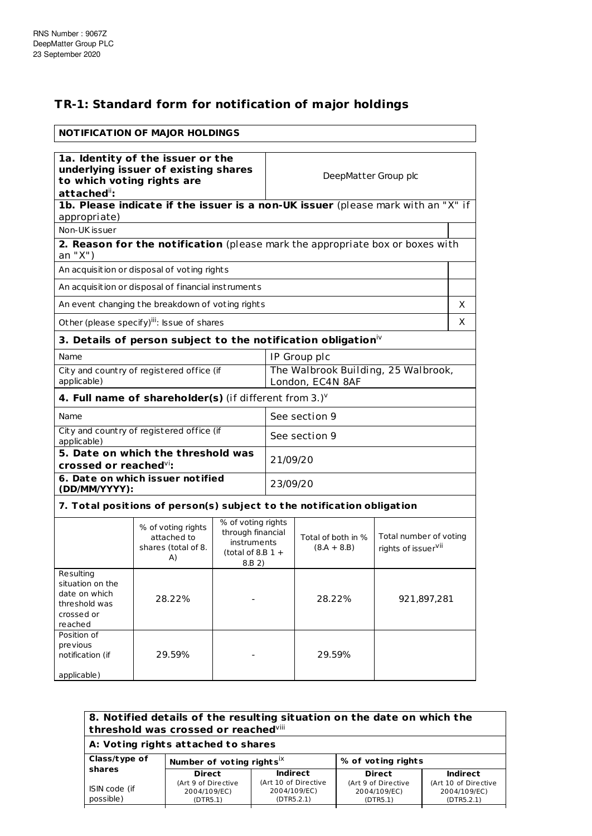## **TR-1: Standard form for notification of major holdings**

| <b>NOTIFICATION OF MAJOR HOLDINGS</b>                                                                                 |                                                                                                                                                                  |                                                         |               |                                     |                                                           |   |
|-----------------------------------------------------------------------------------------------------------------------|------------------------------------------------------------------------------------------------------------------------------------------------------------------|---------------------------------------------------------|---------------|-------------------------------------|-----------------------------------------------------------|---|
| 1a. Identity of the issuer or the<br>underlying issuer of existing shares<br>to which voting rights are<br>attached": |                                                                                                                                                                  |                                                         |               | DeepMatter Group plc                |                                                           |   |
| appropriate)                                                                                                          | 1b. Please indicate if the issuer is a non-UK issuer (please mark with an "X" if                                                                                 |                                                         |               |                                     |                                                           |   |
| Non-UK issuer                                                                                                         |                                                                                                                                                                  |                                                         |               |                                     |                                                           |   |
| an "X")                                                                                                               | 2. Reason for the notification (please mark the appropriate box or boxes with                                                                                    |                                                         |               |                                     |                                                           |   |
|                                                                                                                       | An acquisition or disposal of voting rights                                                                                                                      |                                                         |               |                                     |                                                           |   |
|                                                                                                                       | An acquisition or disposal of financial instruments                                                                                                              |                                                         |               |                                     |                                                           |   |
|                                                                                                                       | An event changing the breakdown of voting rights                                                                                                                 |                                                         |               |                                     |                                                           | X |
|                                                                                                                       | Other (please specify) <sup>iii</sup> : Issue of shares                                                                                                          |                                                         |               |                                     |                                                           | X |
|                                                                                                                       | 3. Details of person subject to the notification obligation $\dot{N}$                                                                                            |                                                         |               |                                     |                                                           |   |
| Name                                                                                                                  | IP Group plc                                                                                                                                                     |                                                         |               |                                     |                                                           |   |
| City and country of registered office (if<br>applicable)                                                              |                                                                                                                                                                  | The Walbrook Building, 25 Walbrook,<br>London, EC4N 8AF |               |                                     |                                                           |   |
|                                                                                                                       | 4. Full name of shareholder(s) (if different from $3.$ ) $v$                                                                                                     |                                                         |               |                                     |                                                           |   |
| Name                                                                                                                  |                                                                                                                                                                  |                                                         | See section 9 |                                     |                                                           |   |
| City and country of registered office (if<br>applicable)                                                              |                                                                                                                                                                  |                                                         |               | See section 9                       |                                                           |   |
| 5. Date on which the threshold was<br>21/09/20<br>crossed or reached $\overline{v}$ :                                 |                                                                                                                                                                  |                                                         |               |                                     |                                                           |   |
| (DD/MM/YYYY):                                                                                                         | 6. Date on which issuer notified                                                                                                                                 |                                                         | 23/09/20      |                                     |                                                           |   |
|                                                                                                                       | 7. Total positions of person(s) subject to the notification obligation                                                                                           |                                                         |               |                                     |                                                           |   |
|                                                                                                                       | % of voting rights<br>% of voting rights<br>through financial<br>attached to<br><i>instruments</i><br>shares (total of 8.<br>(total of 8.B $1 +$<br>A)<br>8.B 2) |                                                         |               | Total of both in %<br>$(8.A + 8.B)$ | Total number of voting<br>rights of issuer <sup>vii</sup> |   |
| Resulting<br>situation on the<br>date on which<br>threshold was<br>crossed or<br>reached                              | 28.22%                                                                                                                                                           |                                                         |               | 28.22%                              | 921,897,281                                               |   |
| Position of<br>previous<br>notification (if<br>applicable)                                                            | 29.59%                                                                                                                                                           |                                                         |               | 29.59%                              |                                                           |   |

| 8. Notified details of the resulting situation on the date on which the<br>threshold was crossed or reached <sup>viii</sup><br>A: Voting rights attached to shares |                                                 |                                                    |                                                 |                                                    |
|--------------------------------------------------------------------------------------------------------------------------------------------------------------------|-------------------------------------------------|----------------------------------------------------|-------------------------------------------------|----------------------------------------------------|
| Class/type of                                                                                                                                                      | Number of voting rights $X$                     |                                                    | % of voting rights                              |                                                    |
| shares                                                                                                                                                             | <b>Direct</b>                                   | <b>Indirect</b>                                    | <b>Direct</b>                                   | Indirect                                           |
| ISIN code (if<br>possible)                                                                                                                                         | (Art 9 of Directive<br>2004/109/EC)<br>(DTR5.1) | (Art 10 of Directive<br>2004/109/EC)<br>(DTR5.2.1) | (Art 9 of Directive<br>2004/109/EC)<br>(DTR5.1) | (Art 10 of Directive<br>2004/109/EC)<br>(DTR5.2.1) |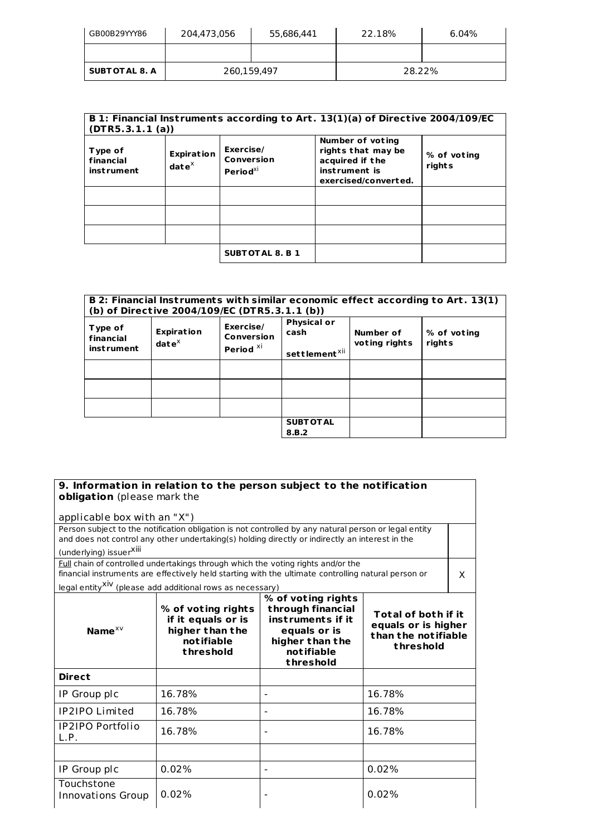| GB00B29YYY86           | 204,473,056 | 55,686,441 | 22.18% | 6.04% |
|------------------------|-------------|------------|--------|-------|
|                        |             |            |        |       |
| <b>SUBT OT AL 8. A</b> | 260,159,497 |            | 28.22% |       |

| Type of<br>financial<br><b>instrument</b> | <b>Expiration</b><br>dat $e^{\chi}$ | Exercise/<br>Conversion<br>Period <sup>xi</sup> | Number of voting<br>rights that may be<br>acquired if the<br>instrument is<br>exercised/converted. | % of voting<br>rights |
|-------------------------------------------|-------------------------------------|-------------------------------------------------|----------------------------------------------------------------------------------------------------|-----------------------|
|                                           |                                     |                                                 |                                                                                                    |                       |
|                                           |                                     | <b>SUBTOTAL 8. B 1</b>                          |                                                                                                    |                       |

|                                           |                                    | (b) of Directive 2004/109/EC (DTR5.3.1.1 (b))   |                                                         |                            | B 2: Financial Instruments with similar economic effect according to Art. 13(1) |
|-------------------------------------------|------------------------------------|-------------------------------------------------|---------------------------------------------------------|----------------------------|---------------------------------------------------------------------------------|
| Type of<br>financial<br><b>instrument</b> | <b>Expiration</b><br>$date^{\chi}$ | Exercise/<br>Conversion<br>Period <sup>XI</sup> | <b>Physical or</b><br>cash<br>settlement <sup>xii</sup> | Number of<br>voting rights | % of voting<br>rights                                                           |
|                                           |                                    |                                                 |                                                         |                            |                                                                                 |
|                                           |                                    |                                                 |                                                         |                            |                                                                                 |
|                                           |                                    |                                                 |                                                         |                            |                                                                                 |
|                                           |                                    |                                                 | <b>SUBT OT AL</b><br>8.B.2                              |                            |                                                                                 |

| applicable box with an "X")     | Person subject to the notification obligation is not controlled by any natural person or legal entity                                                                                   |                                                                                                                            |                                                                                |          |
|---------------------------------|-----------------------------------------------------------------------------------------------------------------------------------------------------------------------------------------|----------------------------------------------------------------------------------------------------------------------------|--------------------------------------------------------------------------------|----------|
| (underlying) issuerXill         | and does not control any other undertaking(s) holding directly or indirectly an interest in the                                                                                         |                                                                                                                            |                                                                                |          |
|                                 | Full chain of controlled undertakings through which the voting rights and/or the<br>financial instruments are effectively held starting with the ultimate controlling natural person or |                                                                                                                            |                                                                                | $\times$ |
|                                 | legal entity <sup>XiV</sup> (please add additional rows as necessary)                                                                                                                   |                                                                                                                            |                                                                                |          |
| Name $x \vee$                   | % of voting rights<br>if it equals or is<br>higher than the<br>notifiable<br>threshold                                                                                                  | % of voting rights<br>through financial<br>instruments if it<br>equals or is<br>higher than the<br>notifiable<br>threshold | Total of both if it<br>equals or is higher<br>than the notifiable<br>threshold |          |
| <b>Direct</b>                   |                                                                                                                                                                                         |                                                                                                                            |                                                                                |          |
| IP Group plc                    | 16.78%                                                                                                                                                                                  |                                                                                                                            | 16.78%                                                                         |          |
| <b>IP2IPO Limited</b>           | 16.78%                                                                                                                                                                                  | $\blacksquare$                                                                                                             | 16.78%                                                                         |          |
| <b>IP2IPO Portfolio</b><br>L.P. | 16.78%                                                                                                                                                                                  | $\overline{\phantom{0}}$                                                                                                   | 16.78%                                                                         |          |
|                                 |                                                                                                                                                                                         |                                                                                                                            |                                                                                |          |
| IP Group plc                    | 0.02%                                                                                                                                                                                   |                                                                                                                            | 0.02%                                                                          |          |
| Touchstone<br>Innovations Group | 0.02%                                                                                                                                                                                   |                                                                                                                            | 0.02%                                                                          |          |